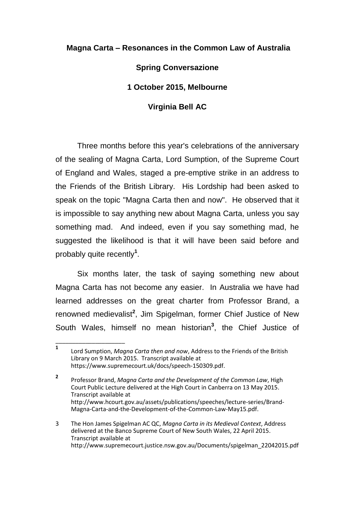## **Magna Carta – Resonances in the Common Law of Australia**

## **Spring Conversazione**

## **1 October 2015, Melbourne**

## **Virginia Bell AC**

Three months before this year's celebrations of the anniversary of the sealing of Magna Carta, Lord Sumption, of the Supreme Court of England and Wales, staged a pre-emptive strike in an address to the Friends of the British Library. His Lordship had been asked to speak on the topic "Magna Carta then and now". He observed that it is impossible to say anything new about Magna Carta, unless you say something mad. And indeed, even if you say something mad, he suggested the likelihood is that it will have been said before and probably quite recently**<sup>1</sup>** .

Six months later, the task of saying something new about Magna Carta has not become any easier. In Australia we have had learned addresses on the great charter from Professor Brand, a renowned medievalist<sup>2</sup>, Jim Spigelman, former Chief Justice of New South Wales, himself no mean historian**<sup>3</sup>** , the Chief Justice of

**<sup>1</sup>** Lord Sumption, *Magna Carta then and now*, Address to the Friends of the British Library on 9 March 2015. Transcript available at https://www.supremecourt.uk/docs/speech-150309.pdf.

**<sup>2</sup>** Professor Brand, *Magna Carta and the Development of the Common Law*, High Court Public Lecture delivered at the High Court in Canberra on 13 May 2015. Transcript available at http://www.hcourt.gov.au/assets/publications/speeches/lecture-series/Brand-Magna-Carta-and-the-Development-of-the-Common-Law-May15.pdf.

<sup>3</sup> The Hon James Spigelman AC QC, *Magna Carta in its Medieval Context*, Address delivered at the Banco Supreme Court of New South Wales, 22 April 2015. Transcript available at http://www.supremecourt.justice.nsw.gov.au/Documents/spigelman\_22042015.pdf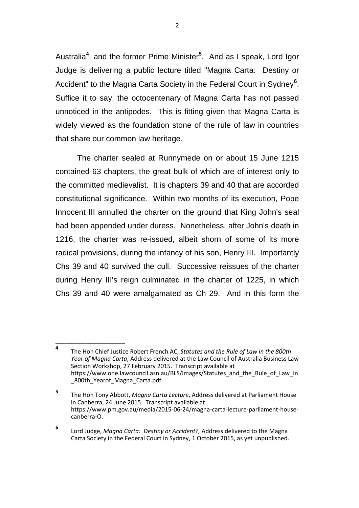Australia**<sup>4</sup>** , and the former Prime Minister**<sup>5</sup>** . And as I speak, Lord Igor Judge is delivering a public lecture titled "Magna Carta: Destiny or Accident" to the Magna Carta Society in the Federal Court in Sydney**<sup>6</sup>** . Suffice it to say, the octocentenary of Magna Carta has not passed unnoticed in the antipodes. This is fitting given that Magna Carta is widely viewed as the foundation stone of the rule of law in countries that share our common law heritage.

The charter sealed at Runnymede on or about 15 June 1215 contained 63 chapters, the great bulk of which are of interest only to the committed medievalist. It is chapters 39 and 40 that are accorded constitutional significance. Within two months of its execution, Pope Innocent III annulled the charter on the ground that King John's seal had been appended under duress. Nonetheless, after John's death in 1216, the charter was re-issued, albeit shorn of some of its more radical provisions, during the infancy of his son, Henry III. Importantly Chs 39 and 40 survived the cull. Successive reissues of the charter during Henry III's reign culminated in the charter of 1225, in which Chs 39 and 40 were amalgamated as Ch 29. And in this form the

**<sup>4</sup>** The Hon Chief Justice Robert French AC, *Statutes and the Rule of Law in the 800th Year of Magna Carta*, Address delivered at the Law Council of Australia Business Law Section Workshop, 27 February 2015. Transcript available at https://www.one.lawcouncil.asn.au/BLS/images/Statutes\_and\_the\_Rule\_of\_Law\_in 800th Yearof Magna Carta.pdf.

**<sup>5</sup>** The Hon Tony Abbott, *Magna Carta Lecture*, Address delivered at Parliament House in Canberra, 24 June 2015. Transcript available at https://www.pm.gov.au/media/2015-06-24/magna-carta-lecture-parliament-housecanberra-O.

**<sup>6</sup>** Lord Judge, *Magna Carta: Destiny or Accident?,* Address delivered to the Magna Carta Society in the Federal Court in Sydney, 1 October 2015, as yet unpublished.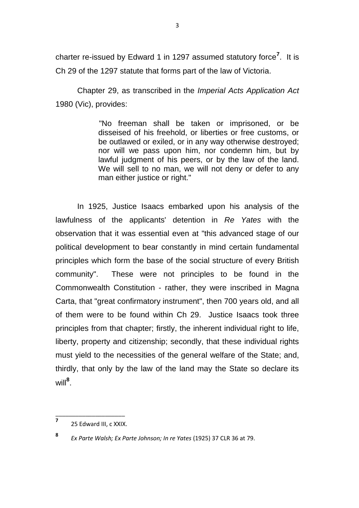charter re-issued by Edward 1 in 1297 assumed statutory force**<sup>7</sup>** . It is Ch 29 of the 1297 statute that forms part of the law of Victoria.

Chapter 29, as transcribed in the *Imperial Acts Application Act* 1980 (Vic), provides:

> "No freeman shall be taken or imprisoned, or be disseised of his freehold, or liberties or free customs, or be outlawed or exiled, or in any way otherwise destroyed; nor will we pass upon him, nor condemn him, but by lawful judgment of his peers, or by the law of the land. We will sell to no man, we will not deny or defer to any man either justice or right."

In 1925, Justice Isaacs embarked upon his analysis of the lawfulness of the applicants' detention in *Re Yates* with the observation that it was essential even at "this advanced stage of our political development to bear constantly in mind certain fundamental principles which form the base of the social structure of every British community". These were not principles to be found in the Commonwealth Constitution - rather, they were inscribed in Magna Carta, that "great confirmatory instrument", then 700 years old, and all of them were to be found within Ch 29. Justice Isaacs took three principles from that chapter; firstly, the inherent individual right to life, liberty, property and citizenship; secondly, that these individual rights must yield to the necessities of the general welfare of the State; and, thirdly, that only by the law of the land may the State so declare its will**<sup>8</sup>** .

\_\_\_\_\_\_\_\_\_\_\_\_\_\_\_\_\_\_\_\_\_ **7** 25 Edward III, c XXIX.

**<sup>8</sup>**

*Ex Parte Walsh; Ex Parte Johnson; In re Yates* (1925) 37 CLR 36 at 79.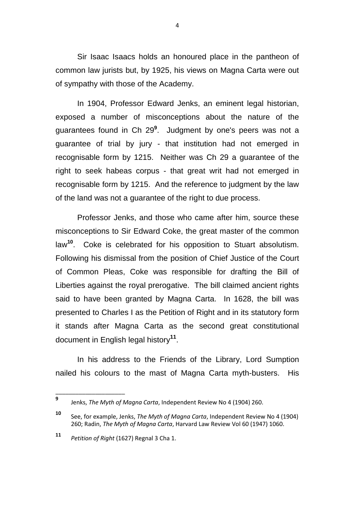Sir Isaac Isaacs holds an honoured place in the pantheon of common law jurists but, by 1925, his views on Magna Carta were out of sympathy with those of the Academy.

In 1904, Professor Edward Jenks, an eminent legal historian, exposed a number of misconceptions about the nature of the guarantees found in Ch 29**<sup>9</sup>** . Judgment by one's peers was not a guarantee of trial by jury - that institution had not emerged in recognisable form by 1215. Neither was Ch 29 a guarantee of the right to seek habeas corpus - that great writ had not emerged in recognisable form by 1215. And the reference to judgment by the law of the land was not a guarantee of the right to due process.

Professor Jenks, and those who came after him, source these misconceptions to Sir Edward Coke, the great master of the common law**<sup>10</sup>**. Coke is celebrated for his opposition to Stuart absolutism. Following his dismissal from the position of Chief Justice of the Court of Common Pleas, Coke was responsible for drafting the Bill of Liberties against the royal prerogative. The bill claimed ancient rights said to have been granted by Magna Carta. In 1628, the bill was presented to Charles I as the Petition of Right and in its statutory form it stands after Magna Carta as the second great constitutional document in English legal history**<sup>11</sup>** .

In his address to the Friends of the Library, Lord Sumption nailed his colours to the mast of Magna Carta myth-busters. His

\_\_\_\_\_\_\_\_\_\_\_\_\_\_\_\_\_\_\_\_\_

4

**<sup>9</sup>** Jenks, *The Myth of Magna Carta*, Independent Review No 4 (1904) 260.

**<sup>10</sup>** See, for example, Jenks, *The Myth of Magna Carta*, Independent Review No 4 (1904) 260; Radin, *The Myth of Magna Carta*, Harvard Law Review Vol 60 (1947) 1060.

**<sup>11</sup>** *Petition of Right* (1627) Regnal 3 Cha 1.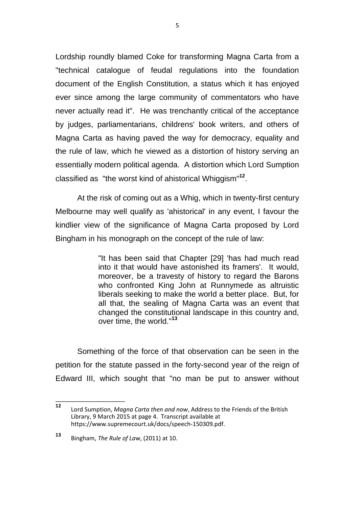Lordship roundly blamed Coke for transforming Magna Carta from a "technical catalogue of feudal regulations into the foundation document of the English Constitution, a status which it has enjoyed ever since among the large community of commentators who have never actually read it". He was trenchantly critical of the acceptance by judges, parliamentarians, childrens' book writers, and others of Magna Carta as having paved the way for democracy, equality and the rule of law, which he viewed as a distortion of history serving an essentially modern political agenda. A distortion which Lord Sumption classified as "the worst kind of ahistorical Whiggism"**<sup>12</sup>** .

At the risk of coming out as a Whig, which in twenty-first century Melbourne may well qualify as 'ahistorical' in any event, I favour the kindlier view of the significance of Magna Carta proposed by Lord Bingham in his monograph on the concept of the rule of law:

> "It has been said that Chapter [29] 'has had much read into it that would have astonished its framers'. It would, moreover, be a travesty of history to regard the Barons who confronted King John at Runnymede as altruistic liberals seeking to make the world a better place. But, for all that, the sealing of Magna Carta was an event that changed the constitutional landscape in this country and, over time, the world."**<sup>13</sup>**

Something of the force of that observation can be seen in the petition for the statute passed in the forty-second year of the reign of Edward III, which sought that "no man be put to answer without

**<sup>12</sup>** Lord Sumption, *Magna Carta then and now*, Address to the Friends of the British Library, 9 March 2015 at page 4. Transcript available at https://www.supremecourt.uk/docs/speech-150309.pdf.

**<sup>13</sup>** Bingham, *The Rule of La*w, (2011) at 10.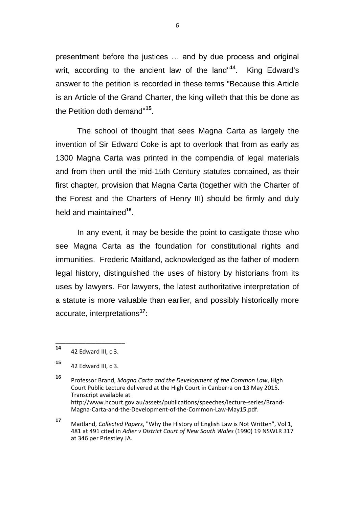presentment before the justices … and by due process and original writ, according to the ancient law of the land"**<sup>14</sup>**. King Edward's answer to the petition is recorded in these terms "Because this Article is an Article of the Grand Charter, the king willeth that this be done as the Petition doth demand" **15** .

The school of thought that sees Magna Carta as largely the invention of Sir Edward Coke is apt to overlook that from as early as 1300 Magna Carta was printed in the compendia of legal materials and from then until the mid-15th Century statutes contained, as their first chapter, provision that Magna Carta (together with the Charter of the Forest and the Charters of Henry III) should be firmly and duly held and maintained<sup>16</sup>.

In any event, it may be beside the point to castigate those who see Magna Carta as the foundation for constitutional rights and immunities. Frederic Maitland, acknowledged as the father of modern legal history, distinguished the uses of history by historians from its uses by lawyers. For lawyers, the latest authoritative interpretation of a statute is more valuable than earlier, and possibly historically more accurate, interpretations**<sup>17</sup>**:

**<sup>17</sup>** Maitland, *Collected Papers*, "Why the History of English Law is Not Written", Vol 1, 481 at 491 cited in *Adler v District Court of New South Wales* (1990) 19 NSWLR 317 at 346 per Priestley JA.

\_\_\_\_\_\_\_\_\_\_\_\_\_\_\_\_\_\_\_\_\_ **<sup>14</sup>** 42 Edward III, c 3.

**<sup>15</sup>** 42 Edward III, c 3.

**<sup>16</sup>** Professor Brand, *Magna Carta and the Development of the Common Law*, High Court Public Lecture delivered at the High Court in Canberra on 13 May 2015. Transcript available at http://www.hcourt.gov.au/assets/publications/speeches/lecture-series/Brand-Magna-Carta-and-the-Development-of-the-Common-Law-May15.pdf.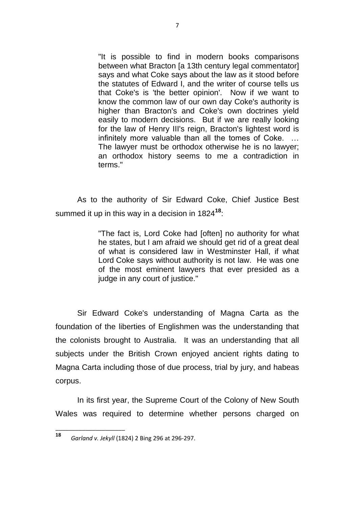"It is possible to find in modern books comparisons between what Bracton Ia 13th century legal commentatorl says and what Coke says about the law as it stood before the statutes of Edward I, and the writer of course tells us that Coke's is 'the better opinion'. Now if we want to know the common law of our own day Coke's authority is higher than Bracton's and Coke's own doctrines yield easily to modern decisions. But if we are really looking for the law of Henry III's reign, Bracton's lightest word is infinitely more valuable than all the tomes of Coke. … The lawyer must be orthodox otherwise he is no lawyer; an orthodox history seems to me a contradiction in terms."

As to the authority of Sir Edward Coke, Chief Justice Best summed it up in this way in a decision in 1824**<sup>18</sup>**:

> "The fact is, Lord Coke had [often] no authority for what he states, but I am afraid we should get rid of a great deal of what is considered law in Westminster Hall, if what Lord Coke says without authority is not law. He was one of the most eminent lawyers that ever presided as a judge in any court of justice."

Sir Edward Coke's understanding of Magna Carta as the foundation of the liberties of Englishmen was the understanding that the colonists brought to Australia. It was an understanding that all subjects under the British Crown enjoyed ancient rights dating to Magna Carta including those of due process, trial by jury, and habeas corpus.

In its first year, the Supreme Court of the Colony of New South Wales was required to determine whether persons charged on

**<sup>18</sup>** *Garland v. Jekyll* (1824) 2 Bing 296 at 296-297.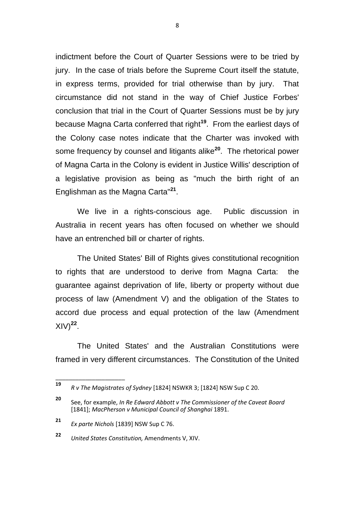indictment before the Court of Quarter Sessions were to be tried by jury. In the case of trials before the Supreme Court itself the statute, in express terms, provided for trial otherwise than by jury. That circumstance did not stand in the way of Chief Justice Forbes' conclusion that trial in the Court of Quarter Sessions must be by jury because Magna Carta conferred that right**<sup>19</sup>**. From the earliest days of the Colony case notes indicate that the Charter was invoked with some frequency by counsel and litigants alike**<sup>20</sup>**. The rhetorical power of Magna Carta in the Colony is evident in Justice Willis' description of a legislative provision as being as "much the birth right of an Englishman as the Magna Carta"**<sup>21</sup>** .

We live in a rights-conscious age. Public discussion in Australia in recent years has often focused on whether we should have an entrenched bill or charter of rights.

The United States' Bill of Rights gives constitutional recognition to rights that are understood to derive from Magna Carta: the guarantee against deprivation of life, liberty or property without due process of law (Amendment V) and the obligation of the States to accord due process and equal protection of the law (Amendment  $XIV)^{22}$ .

The United States' and the Australian Constitutions were framed in very different circumstances. The Constitution of the United

**<sup>19</sup>** *<sup>R</sup> v The Magistrates of Sydney* [1824] NSWKR 3; [1824] NSW Sup C 20.

**<sup>20</sup>** See, for example, *In Re Edward Abbott v The Commissioner of the Caveat Board* [1841]; *MacPherson v Municipal Council of Shanghai* 1891.

**<sup>21</sup>** *Ex parte Nichols* [1839] NSW Sup C 76.

**<sup>22</sup>** *United States Constitution,* Amendments V, XIV.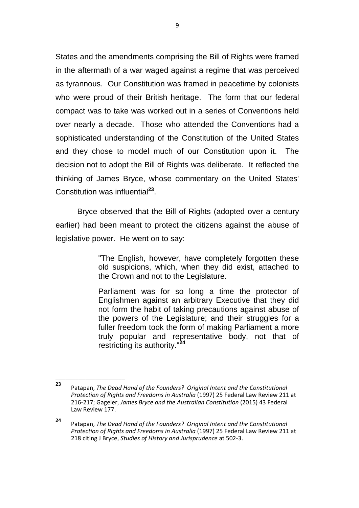States and the amendments comprising the Bill of Rights were framed in the aftermath of a war waged against a regime that was perceived as tyrannous. Our Constitution was framed in peacetime by colonists who were proud of their British heritage. The form that our federal compact was to take was worked out in a series of Conventions held over nearly a decade. Those who attended the Conventions had a sophisticated understanding of the Constitution of the United States and they chose to model much of our Constitution upon it. The decision not to adopt the Bill of Rights was deliberate. It reflected the thinking of James Bryce, whose commentary on the United States' Constitution was influential**<sup>23</sup>** .

Bryce observed that the Bill of Rights (adopted over a century earlier) had been meant to protect the citizens against the abuse of legislative power. He went on to say:

> "The English, however, have completely forgotten these old suspicions, which, when they did exist, attached to the Crown and not to the Legislature.

> Parliament was for so long a time the protector of Englishmen against an arbitrary Executive that they did not form the habit of taking precautions against abuse of the powers of the Legislature; and their struggles for a fuller freedom took the form of making Parliament a more truly popular and representative body, not that of restricting its authority."**<sup>24</sup>**

**<sup>23</sup>** Patapan, *The Dead Hand of the Founders? Original Intent and the Constitutional Protection of Rights and Freedoms in Australia* (1997) 25 Federal Law Review 211 at 216-217; Gageler, *James Bryce and the Australian Constitution* (2015) 43 Federal Law Review 177.

**<sup>24</sup>** Patapan, *The Dead Hand of the Founders? Original Intent and the Constitutional Protection of Rights and Freedoms in Australia* (1997) 25 Federal Law Review 211 at 218 citing J Bryce, *Studies of History and Jurisprudence* at 502-3.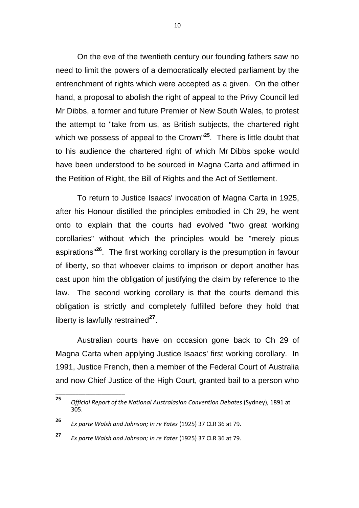On the eve of the twentieth century our founding fathers saw no need to limit the powers of a democratically elected parliament by the entrenchment of rights which were accepted as a given. On the other hand, a proposal to abolish the right of appeal to the Privy Council led Mr Dibbs, a former and future Premier of New South Wales, to protest the attempt to "take from us, as British subjects, the chartered right which we possess of appeal to the Crown"**<sup>25</sup>**. There is little doubt that to his audience the chartered right of which Mr Dibbs spoke would have been understood to be sourced in Magna Carta and affirmed in the Petition of Right, the Bill of Rights and the Act of Settlement.

To return to Justice Isaacs' invocation of Magna Carta in 1925, after his Honour distilled the principles embodied in Ch 29, he went onto to explain that the courts had evolved "two great working corollaries" without which the principles would be "merely pious aspirations"**<sup>26</sup>** . The first working corollary is the presumption in favour of liberty, so that whoever claims to imprison or deport another has cast upon him the obligation of justifying the claim by reference to the law. The second working corollary is that the courts demand this obligation is strictly and completely fulfilled before they hold that liberty is lawfully restrained<sup>27</sup>.

Australian courts have on occasion gone back to Ch 29 of Magna Carta when applying Justice Isaacs' first working corollary. In 1991, Justice French, then a member of the Federal Court of Australia and now Chief Justice of the High Court, granted bail to a person who

\_\_\_\_\_\_\_\_\_\_\_\_\_\_\_\_\_\_\_\_\_

**<sup>27</sup>** *Ex parte Walsh and Johnson; In re Yates* (1925) 37 CLR 36 at 79.

10

**<sup>25</sup>** *Official Report of the National Australasian Convention Debates* (Sydney), 1891 at 305.

**<sup>26</sup>** *Ex parte Walsh and Johnson; In re Yates* (1925) 37 CLR 36 at 79.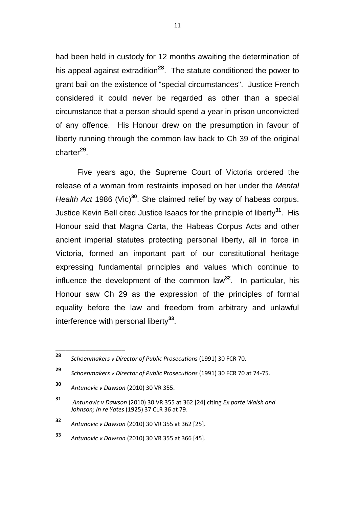had been held in custody for 12 months awaiting the determination of his appeal against extradition**<sup>28</sup>**. The statute conditioned the power to grant bail on the existence of "special circumstances". Justice French considered it could never be regarded as other than a special circumstance that a person should spend a year in prison unconvicted of any offence. His Honour drew on the presumption in favour of liberty running through the common law back to Ch 39 of the original charter**<sup>29</sup>** .

Five years ago, the Supreme Court of Victoria ordered the release of a woman from restraints imposed on her under the *Mental Health Act* 1986 (Vic)**<sup>30</sup>**. She claimed relief by way of habeas corpus. Justice Kevin Bell cited Justice Isaacs for the principle of liberty**<sup>31</sup>** . His Honour said that Magna Carta, the Habeas Corpus Acts and other ancient imperial statutes protecting personal liberty, all in force in Victoria, formed an important part of our constitutional heritage expressing fundamental principles and values which continue to influence the development of the common law**<sup>32</sup>**. In particular, his Honour saw Ch 29 as the expression of the principles of formal equality before the law and freedom from arbitrary and unlawful interference with personal liberty**<sup>33</sup>** .

**<sup>28</sup>** *Schoenmakers v Director of Public Prosecutions* (1991) 30 FCR 70.

**<sup>29</sup>** *Schoenmakers v Director of Public Prosecutions* (1991) 30 FCR 70 at 74-75.

**<sup>30</sup>** *Antunovic v Dawson* (2010) 30 VR 355.

**<sup>31</sup>** *Antunovic v Dawson* (2010) 30 VR 355 at 362 [24] citing *Ex parte Walsh and Johnson; In re Yates* (1925) 37 CLR 36 at 79.

**<sup>32</sup>** *Antunovic v Dawson* (2010) 30 VR 355 at 362 [25].

**<sup>33</sup>** *Antunovic v Dawson* (2010) 30 VR 355 at 366 [45].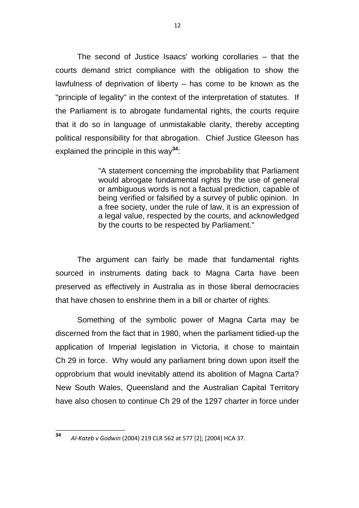The second of Justice Isaacs' working corollaries – that the courts demand strict compliance with the obligation to show the lawfulness of deprivation of liberty – has come to be known as the "principle of legality" in the context of the interpretation of statutes. If the Parliament is to abrogate fundamental rights, the courts require that it do so in language of unmistakable clarity, thereby accepting political responsibility for that abrogation. Chief Justice Gleeson has explained the principle in this way**<sup>34</sup>**:

> "A statement concerning the improbability that Parliament would abrogate fundamental rights by the use of general or ambiguous words is not a factual prediction, capable of being verified or falsified by a survey of public opinion. In a free society, under the rule of law, it is an expression of a legal value, respected by the courts, and acknowledged by the courts to be respected by Parliament."

The argument can fairly be made that fundamental rights sourced in instruments dating back to Magna Carta have been preserved as effectively in Australia as in those liberal democracies that have chosen to enshrine them in a bill or charter of rights.

Something of the symbolic power of Magna Carta may be discerned from the fact that in 1980, when the parliament tidied-up the application of Imperial legislation in Victoria, it chose to maintain Ch 29 in force. Why would any parliament bring down upon itself the opprobrium that would inevitably attend its abolition of Magna Carta? New South Wales, Queensland and the Australian Capital Territory have also chosen to continue Ch 29 of the 1297 charter in force under

**<sup>34</sup>** *Al-Kateb v Godwin* (2004) 219 CLR 562 at 577 [2]; [2004] HCA 37.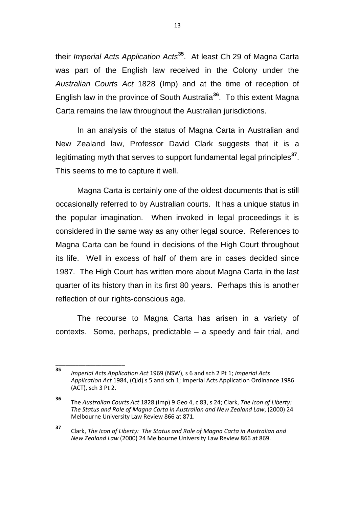their *Imperial Acts Application Acts***<sup>35</sup>**. At least Ch 29 of Magna Carta was part of the English law received in the Colony under the *Australian Courts Act* 1828 (Imp) and at the time of reception of English law in the province of South Australia**<sup>36</sup>** . To this extent Magna Carta remains the law throughout the Australian jurisdictions.

In an analysis of the status of Magna Carta in Australian and New Zealand law, Professor David Clark suggests that it is a legitimating myth that serves to support fundamental legal principles**<sup>37</sup>** . This seems to me to capture it well.

Magna Carta is certainly one of the oldest documents that is still occasionally referred to by Australian courts. It has a unique status in the popular imagination. When invoked in legal proceedings it is considered in the same way as any other legal source. References to Magna Carta can be found in decisions of the High Court throughout its life. Well in excess of half of them are in cases decided since 1987. The High Court has written more about Magna Carta in the last quarter of its history than in its first 80 years. Perhaps this is another reflection of our rights-conscious age.

The recourse to Magna Carta has arisen in a variety of contexts. Some, perhaps, predictable – a speedy and fair trial, and

**<sup>35</sup>** *Imperial Acts Application Act* 1969 (NSW), s 6 and sch 2 Pt 1; *Imperial Acts Application Act* 1984, (Qld) s 5 and sch 1; Imperial Acts Application Ordinance 1986 (ACT), sch 3 Pt 2.

**<sup>36</sup>** The *Australian Courts Act* 1828 (Imp) 9 Geo 4, c 83, s 24; Clark, *The Icon of Liberty: The Status and Role of Magna Carta in Australian and New Zealand Law*, (2000) 24 Melbourne University Law Review 866 at 871.

**<sup>37</sup>** Clark, *The Icon of Liberty: The Status and Role of Magna Carta in Australian and New Zealand Law* (2000) 24 Melbourne University Law Review 866 at 869.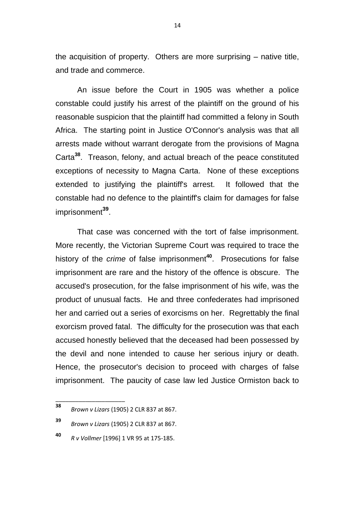the acquisition of property. Others are more surprising – native title, and trade and commerce.

An issue before the Court in 1905 was whether a police constable could justify his arrest of the plaintiff on the ground of his reasonable suspicion that the plaintiff had committed a felony in South Africa. The starting point in Justice O'Connor's analysis was that all arrests made without warrant derogate from the provisions of Magna Carta**<sup>38</sup>**. Treason, felony, and actual breach of the peace constituted exceptions of necessity to Magna Carta. None of these exceptions extended to justifying the plaintiff's arrest. It followed that the constable had no defence to the plaintiff's claim for damages for false imprisonment**<sup>39</sup>** .

That case was concerned with the tort of false imprisonment. More recently, the Victorian Supreme Court was required to trace the history of the *crime* of false imprisonment<sup>40</sup>. Prosecutions for false imprisonment are rare and the history of the offence is obscure. The accused's prosecution, for the false imprisonment of his wife, was the product of unusual facts. He and three confederates had imprisoned her and carried out a series of exorcisms on her. Regrettably the final exorcism proved fatal. The difficulty for the prosecution was that each accused honestly believed that the deceased had been possessed by the devil and none intended to cause her serious injury or death. Hence, the prosecutor's decision to proceed with charges of false imprisonment. The paucity of case law led Justice Ormiston back to

**<sup>38</sup>** *Brown v Lizars* (1905) 2 CLR 837 at 867.

**<sup>39</sup>** *Brown v Lizars* (1905) 2 CLR 837 at 867.

**<sup>40</sup>** *R v Vollmer* [1996] 1 VR 95 at 175-185.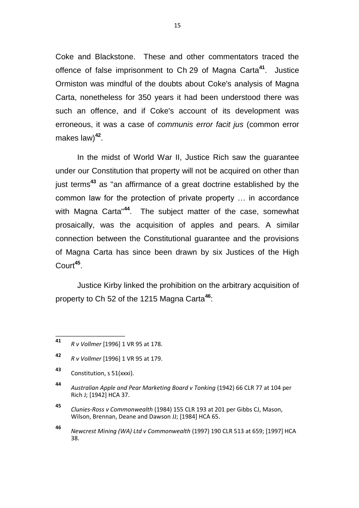Coke and Blackstone. These and other commentators traced the offence of false imprisonment to Ch 29 of Magna Carta**<sup>41</sup>**. Justice Ormiston was mindful of the doubts about Coke's analysis of Magna Carta, nonetheless for 350 years it had been understood there was such an offence, and if Coke's account of its development was erroneous, it was a case of *communis error facit jus* (common error makes law)**<sup>42</sup>** .

In the midst of World War II, Justice Rich saw the guarantee under our Constitution that property will not be acquired on other than just terms**<sup>43</sup>** as "an affirmance of a great doctrine established by the common law for the protection of private property … in accordance with Magna Carta"**<sup>44</sup>**. The subject matter of the case, somewhat prosaically, was the acquisition of apples and pears. A similar connection between the Constitutional guarantee and the provisions of Magna Carta has since been drawn by six Justices of the High Court**<sup>45</sup>** .

Justice Kirby linked the prohibition on the arbitrary acquisition of property to Ch 52 of the 1215 Magna Carta**<sup>46</sup>**:

**<sup>41</sup>** *R v Vollmer* [1996] 1 VR 95 at 178.

**<sup>42</sup>** *R v Vollmer* [1996] 1 VR 95 at 179.

**<sup>43</sup>** Constitution, s 51(xxxi).

**<sup>44</sup>** *Australian Apple and Pear Marketing Board v Tonking* (1942) 66 CLR 77 at 104 per Rich J; [1942] HCA 37.

**<sup>45</sup>** *Clunies-Ross v Commonwealth* (1984) 155 CLR 193 at 201 per Gibbs CJ, Mason, Wilson, Brennan, Deane and Dawson JJ; [1984] HCA 65.

**<sup>46</sup>** *Newcrest Mining (WA) Ltd v Commonwealth* (1997) 190 CLR 513 at 659; [1997] HCA 38.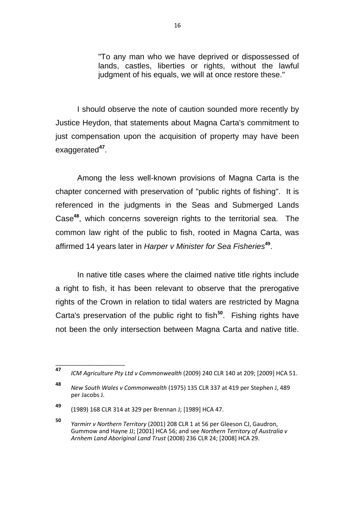"To any man who we have deprived or dispossessed of lands, castles, liberties or rights, without the lawful judgment of his equals, we will at once restore these."

I should observe the note of caution sounded more recently by Justice Heydon, that statements about Magna Carta's commitment to just compensation upon the acquisition of property may have been exaggerated**<sup>47</sup>** .

Among the less well-known provisions of Magna Carta is the chapter concerned with preservation of "public rights of fishing". It is referenced in the judgments in the Seas and Submerged Lands Case**<sup>48</sup>**, which concerns sovereign rights to the territorial sea. The common law right of the public to fish, rooted in Magna Carta, was affirmed 14 years later in *Harper v Minister for Sea Fisheries***<sup>49</sup>** .

In native title cases where the claimed native title rights include a right to fish, it has been relevant to observe that the prerogative rights of the Crown in relation to tidal waters are restricted by Magna Carta's preservation of the public right to fish<sup>50</sup>. Fishing rights have not been the only intersection between Magna Carta and native title.

**<sup>47</sup>** *ICM Agriculture Pty Ltd v Commonwealth* (2009) 240 CLR 140 at 209; [2009] HCA 51.

**<sup>48</sup>** *New South Wales v Commonwealth* (1975) 135 CLR 337 at 419 per Stephen J, 489 per Jacobs J.

**<sup>49</sup>** (1989) 168 CLR 314 at 329 per Brennan J; [1989] HCA 47.

**<sup>50</sup>** *Yarmirr v Northern Territory* (2001) 208 CLR 1 at 56 per Gleeson CJ, Gaudron, Gummow and Hayne JJ; [2001] HCA 56; and see *Northern Territory of Australia v Arnhem Land Aboriginal Land Trust* (2008) 236 CLR 24; [2008] HCA 29.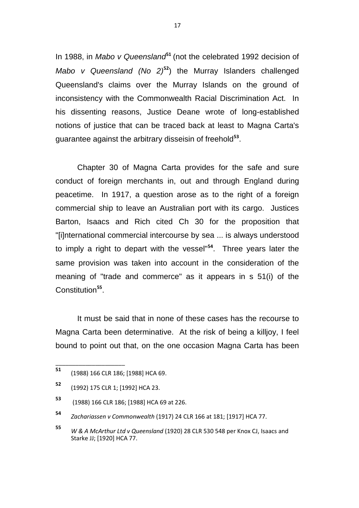In 1988, in *Mabo v Queensland*<sup>51</sup> (not the celebrated 1992 decision of *Mabo v Queensland (No 2)***<sup>52</sup>**) the Murray Islanders challenged Queensland's claims over the Murray Islands on the ground of inconsistency with the Commonwealth Racial Discrimination Act. In his dissenting reasons, Justice Deane wrote of long-established notions of justice that can be traced back at least to Magna Carta's guarantee against the arbitrary disseisin of freehold**<sup>53</sup>** .

Chapter 30 of Magna Carta provides for the safe and sure conduct of foreign merchants in, out and through England during peacetime. In 1917, a question arose as to the right of a foreign commercial ship to leave an Australian port with its cargo. Justices Barton, Isaacs and Rich cited Ch 30 for the proposition that "[i]nternational commercial intercourse by sea ... is always understood to imply a right to depart with the vessel"**<sup>54</sup>**. Three years later the same provision was taken into account in the consideration of the meaning of "trade and commerce" as it appears in s 51(i) of the Constitution<sup>55</sup>.

It must be said that in none of these cases has the recourse to Magna Carta been determinative. At the risk of being a killjoy, I feel bound to point out that, on the one occasion Magna Carta has been

**<sup>51</sup>** (1988) 166 CLR 186; [1988] HCA 69.

**<sup>52</sup>** (1992) 175 CLR 1; [1992] HCA 23.

**<sup>53</sup>** (1988) 166 CLR 186; [1988] HCA 69 at 226.

**<sup>54</sup>** *Zachariassen v Commonwealth* (1917) 24 CLR 166 at 181; [1917] HCA 77.

**<sup>55</sup>** *W & A McArthur Ltd v Queensland* (1920) 28 CLR 530 548 per Knox CJ, Isaacs and Starke JJ; [1920] HCA 77.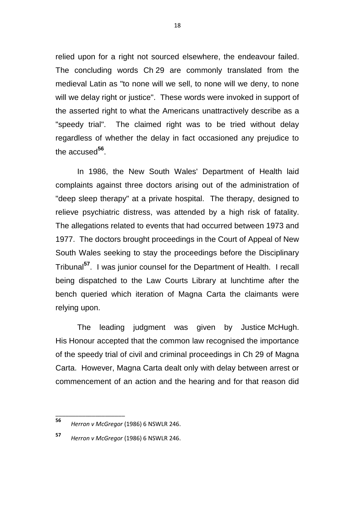relied upon for a right not sourced elsewhere, the endeavour failed. The concluding words Ch 29 are commonly translated from the medieval Latin as "to none will we sell, to none will we deny, to none will we delay right or justice". These words were invoked in support of the asserted right to what the Americans unattractively describe as a "speedy trial". The claimed right was to be tried without delay regardless of whether the delay in fact occasioned any prejudice to the accused**<sup>56</sup>** .

In 1986, the New South Wales' Department of Health laid complaints against three doctors arising out of the administration of "deep sleep therapy" at a private hospital. The therapy, designed to relieve psychiatric distress, was attended by a high risk of fatality. The allegations related to events that had occurred between 1973 and 1977. The doctors brought proceedings in the Court of Appeal of New South Wales seeking to stay the proceedings before the Disciplinary Tribunal**<sup>57</sup>**. I was junior counsel for the Department of Health. I recall being dispatched to the Law Courts Library at lunchtime after the bench queried which iteration of Magna Carta the claimants were relying upon.

The leading judgment was given by Justice McHugh. His Honour accepted that the common law recognised the importance of the speedy trial of civil and criminal proceedings in Ch 29 of Magna Carta. However, Magna Carta dealt only with delay between arrest or commencement of an action and the hearing and for that reason did

**<sup>56</sup>** *Herron v McGregor* (1986) 6 NSWLR 246.

**<sup>57</sup>** *Herron v McGregor* (1986) 6 NSWLR 246.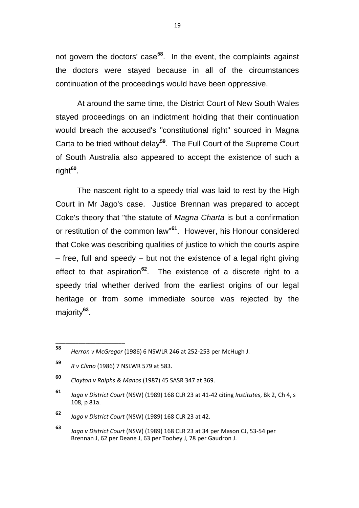not govern the doctors' case**<sup>58</sup>**. In the event, the complaints against the doctors were stayed because in all of the circumstances continuation of the proceedings would have been oppressive.

At around the same time, the District Court of New South Wales stayed proceedings on an indictment holding that their continuation would breach the accused's "constitutional right" sourced in Magna Carta to be tried without delay**<sup>59</sup>**. The Full Court of the Supreme Court of South Australia also appeared to accept the existence of such a right**<sup>60</sup>** .

The nascent right to a speedy trial was laid to rest by the High Court in Mr Jago's case. Justice Brennan was prepared to accept Coke's theory that "the statute of *Magna Charta* is but a confirmation or restitution of the common law"**<sup>61</sup>**. However, his Honour considered that Coke was describing qualities of justice to which the courts aspire – free, full and speedy – but not the existence of a legal right giving effect to that aspiration**<sup>62</sup>**. The existence of a discrete right to a speedy trial whether derived from the earliest origins of our legal heritage or from some immediate source was rejected by the majority**<sup>63</sup>** .

**<sup>58</sup>** *Herron v McGregor* (1986) 6 NSWLR 246 at 252-253 per McHugh J.

**<sup>59</sup>** *R v Climo* (1986) 7 NSLWR 579 at 583.

**<sup>60</sup>** *Clayton v Ralphs & Manos* (1987) 45 SASR 347 at 369.

**<sup>61</sup>** *Jago v District Court* (NSW) (1989) 168 CLR 23 at 41-42 citing *Institutes*, Bk 2, Ch 4, s 108, p 81a.

**<sup>62</sup>** *Jago v District Court* (NSW) (1989) 168 CLR 23 at 42.

**<sup>63</sup>** *Jago v District Court* (NSW) (1989) 168 CLR 23 at 34 per Mason CJ, 53-54 per Brennan J, 62 per Deane J, 63 per Toohey J, 78 per Gaudron J.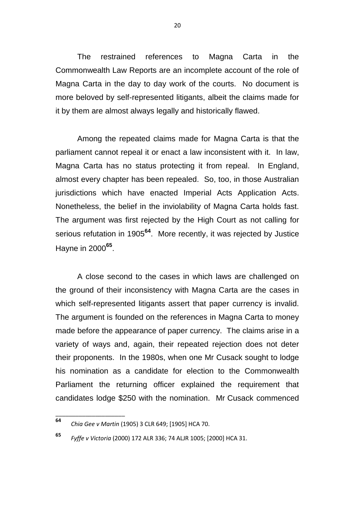The restrained references to Magna Carta in the Commonwealth Law Reports are an incomplete account of the role of Magna Carta in the day to day work of the courts. No document is more beloved by self-represented litigants, albeit the claims made for it by them are almost always legally and historically flawed.

Among the repeated claims made for Magna Carta is that the parliament cannot repeal it or enact a law inconsistent with it. In law, Magna Carta has no status protecting it from repeal. In England, almost every chapter has been repealed. So, too, in those Australian jurisdictions which have enacted Imperial Acts Application Acts. Nonetheless, the belief in the inviolability of Magna Carta holds fast. The argument was first rejected by the High Court as not calling for serious refutation in 1905**<sup>64</sup>** . More recently, it was rejected by Justice Hayne in 2000**<sup>65</sup>** .

A close second to the cases in which laws are challenged on the ground of their inconsistency with Magna Carta are the cases in which self-represented litigants assert that paper currency is invalid. The argument is founded on the references in Magna Carta to money made before the appearance of paper currency. The claims arise in a variety of ways and, again, their repeated rejection does not deter their proponents. In the 1980s, when one Mr Cusack sought to lodge his nomination as a candidate for election to the Commonwealth Parliament the returning officer explained the requirement that candidates lodge \$250 with the nomination. Mr Cusack commenced

\_\_\_\_\_\_\_\_\_\_\_\_\_\_\_\_\_\_\_\_\_

**<sup>65</sup>** *Fyffe v Victoria* (2000) 172 ALR 336; 74 ALJR 1005; [2000] HCA 31.

**<sup>64</sup>** *Chia Gee v Martin* (1905) 3 CLR 649; [1905] HCA 70.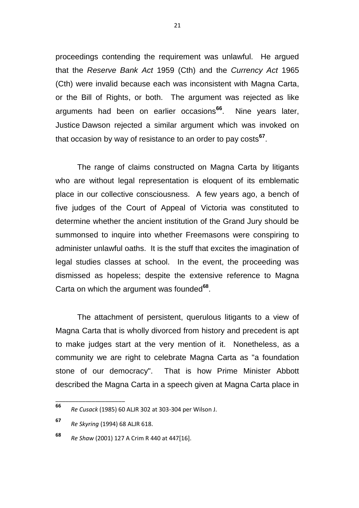proceedings contending the requirement was unlawful. He argued that the *Reserve Bank Act* 1959 (Cth) and the *Currency Act* 1965 (Cth) were invalid because each was inconsistent with Magna Carta, or the Bill of Rights, or both. The argument was rejected as like arguments had been on earlier occasions**<sup>66</sup>**. Nine years later, Justice Dawson rejected a similar argument which was invoked on that occasion by way of resistance to an order to pay costs**<sup>67</sup>** .

The range of claims constructed on Magna Carta by litigants who are without legal representation is eloquent of its emblematic place in our collective consciousness. A few years ago, a bench of five judges of the Court of Appeal of Victoria was constituted to determine whether the ancient institution of the Grand Jury should be summonsed to inquire into whether Freemasons were conspiring to administer unlawful oaths. It is the stuff that excites the imagination of legal studies classes at school. In the event, the proceeding was dismissed as hopeless; despite the extensive reference to Magna Carta on which the argument was founded**<sup>68</sup>** .

The attachment of persistent, querulous litigants to a view of Magna Carta that is wholly divorced from history and precedent is apt to make judges start at the very mention of it. Nonetheless, as a community we are right to celebrate Magna Carta as "a foundation stone of our democracy". That is how Prime Minister Abbott described the Magna Carta in a speech given at Magna Carta place in

**<sup>66</sup>** *Re Cusack* (1985) 60 ALJR 302 at 303-304 per Wilson J.

**<sup>67</sup>** *Re Skyring* (1994) 68 ALJR 618.

**<sup>68</sup>** *Re Shaw* (2001) 127 A Crim R 440 at 447[16].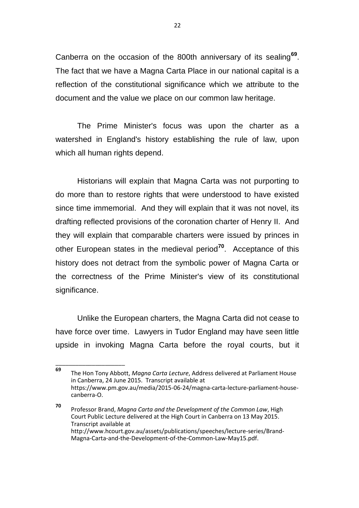Canberra on the occasion of the 800th anniversary of its sealing**<sup>69</sup>** . The fact that we have a Magna Carta Place in our national capital is a reflection of the constitutional significance which we attribute to the document and the value we place on our common law heritage.

The Prime Minister's focus was upon the charter as a watershed in England's history establishing the rule of law, upon which all human rights depend.

Historians will explain that Magna Carta was not purporting to do more than to restore rights that were understood to have existed since time immemorial. And they will explain that it was not novel, its drafting reflected provisions of the coronation charter of Henry II. And they will explain that comparable charters were issued by princes in other European states in the medieval period**<sup>70</sup>**. Acceptance of this history does not detract from the symbolic power of Magna Carta or the correctness of the Prime Minister's view of its constitutional significance.

Unlike the European charters, the Magna Carta did not cease to have force over time. Lawyers in Tudor England may have seen little upside in invoking Magna Carta before the royal courts, but it

**<sup>69</sup>** The Hon Tony Abbott, *Magna Carta Lecture*, Address delivered at Parliament House in Canberra, 24 June 2015. Transcript available at https://www.pm.gov.au/media/2015-06-24/magna-carta-lecture-parliament-housecanberra-O.

**<sup>70</sup>** Professor Brand, *Magna Carta and the Development of the Common Law*, High Court Public Lecture delivered at the High Court in Canberra on 13 May 2015. Transcript available at http://www.hcourt.gov.au/assets/publications/speeches/lecture-series/Brand-Magna-Carta-and-the-Development-of-the-Common-Law-May15.pdf.